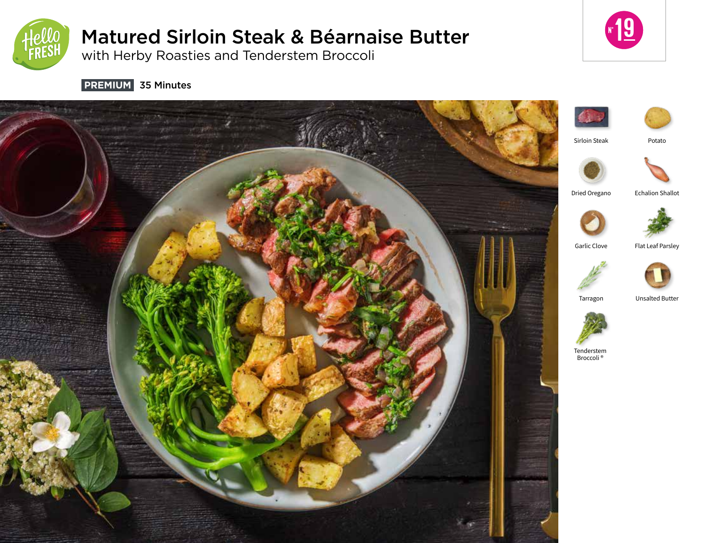

# Matured Sirloin Steak & Béarnaise Butter

with Herby Roasties and Tenderstem Broccoli



 **PREMIUM** 35 Minutes